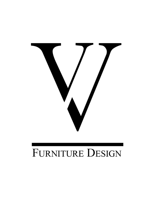

# FURNITURE DESIGN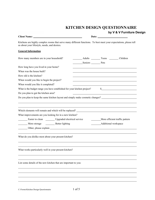## **KITCHEN DESIGN QUESTIONNAIRE**

### $\mathsf{e}\mathsf{s}$ ign

|                                                                                                                                                                                                                                |                                             |                      | by V & V Furniture De                                |  |
|--------------------------------------------------------------------------------------------------------------------------------------------------------------------------------------------------------------------------------|---------------------------------------------|----------------------|------------------------------------------------------|--|
| Client Name: Name: Name: Name: Name: Name: Name: Name: Name: Name: Name: Name: Name: Name: Name: Name: Name: Name: Name: Name: Name: Name: Name: Name: Name: Name: Name: Name: Name: Name: Name: Name: Name: Name: Name: Name: |                                             |                      |                                                      |  |
| Kitchens are highly complex rooms that serve many different functions. To best meet your expectations, please tell<br>us about your lifestyle, needs, and desires.                                                             |                                             |                      |                                                      |  |
| <b>General Information</b>                                                                                                                                                                                                     |                                             |                      |                                                      |  |
| How many members are in your household?                                                                                                                                                                                        | Adults Teens Children<br>Seniors Pets       |                      |                                                      |  |
| How long have you lived in your home?                                                                                                                                                                                          |                                             |                      |                                                      |  |
| When was the house built?                                                                                                                                                                                                      |                                             |                      |                                                      |  |
| How old is the kitchen?                                                                                                                                                                                                        |                                             |                      |                                                      |  |
| When would you like to begin the project?                                                                                                                                                                                      |                                             |                      |                                                      |  |
| When would you like it completed?                                                                                                                                                                                              |                                             |                      |                                                      |  |
| What is the budget range you have established for your kitchen project?                                                                                                                                                        |                                             |                      | $\frac{1}{2}$                                        |  |
| Do you plan to gut the kitchen area?                                                                                                                                                                                           |                                             |                      | <u> 1989 - Johann Barn, fransk politik (d. 1989)</u> |  |
| Do you plan to keep the same kitchen layout and simply make cosmetic changes? ________________________________                                                                                                                 |                                             |                      |                                                      |  |
|                                                                                                                                                                                                                                |                                             |                      |                                                      |  |
|                                                                                                                                                                                                                                |                                             |                      |                                                      |  |
| Which elements will remain and which will be replaced?                                                                                                                                                                         |                                             |                      |                                                      |  |
| What improvements are you looking for in a new kitchen?                                                                                                                                                                        |                                             |                      | More efficient traffic pattern                       |  |
|                                                                                                                                                                                                                                | Easier to clean Upgraded electrical service |                      |                                                      |  |
| More storage Better lighting                                                                                                                                                                                                   |                                             | Additional workspace |                                                      |  |
|                                                                                                                                                                                                                                |                                             |                      |                                                      |  |
| What do you dislike most about your present kitchen?                                                                                                                                                                           |                                             |                      |                                                      |  |
| What works particularly well in your present kitchen?                                                                                                                                                                          |                                             |                      |                                                      |  |
| List some details of the new kitchen that are important to you:                                                                                                                                                                |                                             |                      |                                                      |  |
|                                                                                                                                                                                                                                |                                             |                      |                                                      |  |
|                                                                                                                                                                                                                                |                                             |                      |                                                      |  |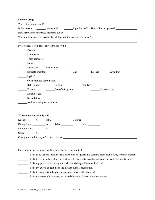#### **Kitchen Usage**

 $\overline{a}$ 

| Who is the primary cook?                                                  |             |  |                                        |  |  |  |
|---------------------------------------------------------------------------|-------------|--|----------------------------------------|--|--|--|
| Is this person                                                            | Left-handed |  | Right-handed? How tall is this person? |  |  |  |
| How many other household members cook?                                    |             |  |                                        |  |  |  |
| What are their specific needs if they differ from the general assessment? |             |  |                                        |  |  |  |
|                                                                           |             |  |                                        |  |  |  |

Please check if you desire any of the following:

| _Disposer                     |  |     |          |       |                    |  |
|-------------------------------|--|-----|----------|-------|--------------------|--|
| Microwave                     |  |     |          |       |                    |  |
| Trash compactor               |  |     |          |       |                    |  |
| Icemaker                      |  |     |          |       |                    |  |
| Dishwasher                    |  |     |          |       |                    |  |
| Separate cook top:            |  | Gas |          |       | Electric Downdraft |  |
| Updraft                       |  |     |          |       |                    |  |
| Oven/cook top combination     |  |     |          |       |                    |  |
| Refrigerator: Built-in        |  |     | Standard |       |                    |  |
| Freezer: Part of refrigerator |  |     |          |       | Separate Unit      |  |
| Double ovens                  |  |     |          |       |                    |  |
| Second Sink                   |  |     |          |       |                    |  |
| Architectural-type stove hood |  |     |          |       |                    |  |
|                               |  |     |          |       |                    |  |
|                               |  |     |          |       |                    |  |
| Where does your family eat?   |  |     |          |       |                    |  |
|                               |  |     | Counter  |       |                    |  |
|                               |  |     |          | Seats |                    |  |
| Family Room __________%       |  |     |          |       |                    |  |
| Other $\%$                    |  |     |          |       |                    |  |
|                               |  |     |          |       |                    |  |
|                               |  |     |          |       |                    |  |

Please check the statement that best describes the way you feel.

- I like to be the only cook in the kitchen with my guests in a separate space that is away from the kitchen.
- I like to be the only cook in the kitchen with my guests close by, with open space to the family room.
- \_\_\_\_\_\_\_\_ I like my guests to be sitting in the kitchen visiting with me while I cook.
- I like my guests to help me in the kitchen in meal preparation.
- \_\_\_\_\_\_\_\_ I like to my guests to help in the clean-up process after the meal.
- I retain caterers who prepare, serve, and clean up all meals for entertainment.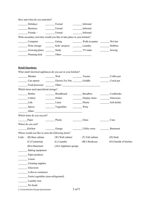|       | How and when do you entertain?                     |                                                                         |                             |                        |  |  |  |
|-------|----------------------------------------------------|-------------------------------------------------------------------------|-----------------------------|------------------------|--|--|--|
|       | Holidays:                                          | Formal                                                                  | Informal                    |                        |  |  |  |
|       | Business:                                          | Formal                                                                  | Informal                    |                        |  |  |  |
|       | Friends:                                           | Formal                                                                  | Informal                    |                        |  |  |  |
|       |                                                    | What secondary activities would you like to take place in your kitchen? |                             |                        |  |  |  |
|       | Computer                                           | Eating                                                                  |                             |                        |  |  |  |
|       | Wine storage                                       | Kids' projects Laundry                                                  |                             | Hobbies                |  |  |  |
|       | Growing plants ______________ Study                |                                                                         | TV/radio                    | Sewing                 |  |  |  |
|       |                                                    |                                                                         |                             |                        |  |  |  |
|       | <b>Detail Questions:</b>                           |                                                                         |                             |                        |  |  |  |
|       |                                                    | What small electrical appliances do you use in your kitchen?            |                             |                        |  |  |  |
|       | Blender                                            | $\frac{1}{\sqrt{1-\frac{1}{2}}}\text{Wok}$                              | Toaster                     | Coffee pot             |  |  |  |
|       |                                                    | Can opener Electric Fry Pan Griddle                                     |                             | Crock pot              |  |  |  |
|       |                                                    | Food processor <u>contract of Other:</u>                                |                             |                        |  |  |  |
|       | Which items need specialized storage?              |                                                                         |                             |                        |  |  |  |
|       | Bottles                                            | Breadboard                                                              | Breadbox                    | Cookbooks              |  |  |  |
|       | Cutlery                                            | Dishes                                                                  | $\frac{1}{2}$ Display items | Glassware              |  |  |  |
|       | Lids                                               | Linen                                                                   | Plastic                     | Soft drinks            |  |  |  |
|       | Spices                                             | Vegetables                                                              | Wine                        |                        |  |  |  |
|       |                                                    |                                                                         |                             |                        |  |  |  |
|       | Which items do you recycle?                        |                                                                         |                             |                        |  |  |  |
|       | Paper                                              | Plastic                                                                 | Glass                       | Cans                   |  |  |  |
|       | Where do you sort?                                 |                                                                         |                             |                        |  |  |  |
|       | Kitchen                                            | Garage                                                                  | Utility room                | Basement               |  |  |  |
|       | Where would you like to store the following items? |                                                                         |                             |                        |  |  |  |
| Code: | (B) Base cabinet                                   | (W) Wall cabinet                                                        | (T) Tall cabinet            | (D) Desk               |  |  |  |
|       | (C) Countertop                                     | (L) Laundry                                                             | (BC) Bookcase               | (O) Outside of kitchen |  |  |  |
|       | (BA) Basement                                      | (AG) Appliance garage                                                   |                             |                        |  |  |  |
|       | Baking equipment                                   |                                                                         |                             |                        |  |  |  |
|       | Paper products                                     |                                                                         |                             |                        |  |  |  |
|       | Linens                                             |                                                                         |                             |                        |  |  |  |
|       | Cleaning supplies                                  |                                                                         |                             |                        |  |  |  |
|       | Glassware                                          |                                                                         |                             |                        |  |  |  |
|       | Leftover containers                                |                                                                         |                             |                        |  |  |  |
|       | Fruits/vegetables (non-refrigerated)               |                                                                         |                             |                        |  |  |  |
|       | Laundry iron                                       |                                                                         |                             |                        |  |  |  |
|       | Pet foods                                          |                                                                         |                             |                        |  |  |  |

C:\Forms\Kitchen Design Questionnaire 3 of 5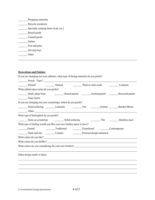| Wrapping materials                  |
|-------------------------------------|
| Recycle containers                  |
| Specialty cooking items (wok, etc.) |
| Boxed goods                         |
| Canned goods                        |
| <b>Dishes</b>                       |
| Pots and pans                       |
| Serving trays                       |
| ther                                |

#### **Decorations and Finishes**

 $\overline{a}$ 

If you are changing out your cabinets, what type of facing materials do you prefer?

|                                         | Painted Stained Stained Paint or stain wash Laminate                                                  |  |  |
|-----------------------------------------|-------------------------------------------------------------------------------------------------------|--|--|
| What cabinet door styles do you prefer? |                                                                                                       |  |  |
|                                         |                                                                                                       |  |  |
| Glass fronts                            |                                                                                                       |  |  |
|                                         | If you are changing out your countertops, which do you prefer?                                        |  |  |
|                                         | Solid surfacing _________ Laminate ___________________________________Granite __________Butcher Block |  |  |
|                                         | Other: Other:                                                                                         |  |  |
| What type of backsplash do you prefer?  |                                                                                                       |  |  |
|                                         | Same as countertop Colid surfacing Colid Structure Colin and Stainless steel                          |  |  |
|                                         | What type of feeling would you like your new kitchen space to have?                                   |  |  |
|                                         | Formal Traditional Transitional Contemporary                                                          |  |  |
|                                         | Open and airy Country Country Personal design statement                                               |  |  |
|                                         | What colors do you like?                                                                              |  |  |
|                                         | What colors do you dislike?                                                                           |  |  |
|                                         | What colors are you considering for your new kitchen?                                                 |  |  |
|                                         |                                                                                                       |  |  |
| Other design needs or ideas:            |                                                                                                       |  |  |
|                                         |                                                                                                       |  |  |
|                                         |                                                                                                       |  |  |
|                                         |                                                                                                       |  |  |
|                                         |                                                                                                       |  |  |